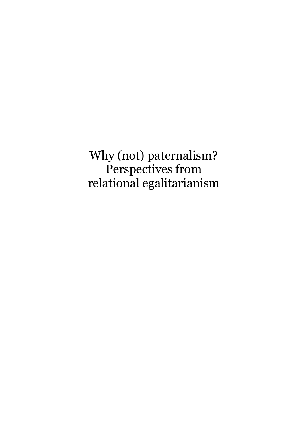Why (not) paternalism? Perspectives from relational egalitarianism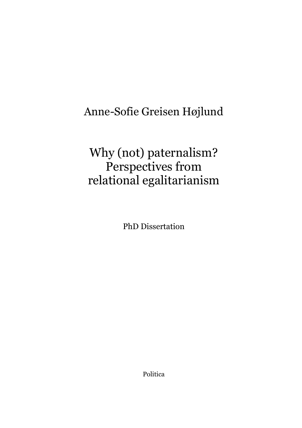## Anne-Sofie Greisen Højlund

# Why (not) paternalism? Perspectives from relational egalitarianism

PhD Dissertation

Politica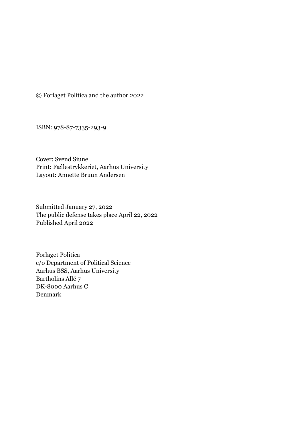© Forlaget Politica and the author 2022

ISBN: 978-87-7335-293-9

Cover: Svend Siune Print: Fællestrykkeriet, Aarhus University Layout: Annette Bruun Andersen

Submitted January 27, 2022 The public defense takes place April 22, 2022 Published April 2022

Forlaget Politica c/o Department of Political Science Aarhus BSS, Aarhus University Bartholins Allé 7 DK-8000 Aarhus C Denmark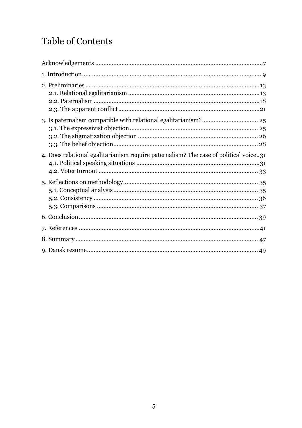### Table of Contents

| 4. Does relational egalitarianism require paternalism? The case of political voice31 |
|--------------------------------------------------------------------------------------|
|                                                                                      |
|                                                                                      |
|                                                                                      |
|                                                                                      |
|                                                                                      |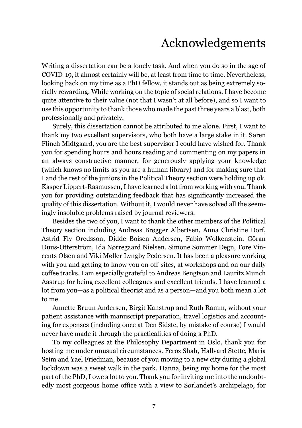# Acknowledgements

<span id="page-6-0"></span>Writing a dissertation can be a lonely task. And when you do so in the age of COVID-19, it almost certainly will be, at least from time to time. Nevertheless, looking back on my time as a PhD fellow, it stands out as being extremely socially rewarding. While working on the topic of social relations, I have become quite attentive to their value (not that I wasn't at all before), and so I want to use this opportunity to thank those who made the past three years a blast, both professionally and privately.

Surely, this dissertation cannot be attributed to me alone. First, I want to thank my two excellent supervisors, who both have a large stake in it. Søren Flinch Midtgaard, you are the best supervisor I could have wished for. Thank you for spending hours and hours reading and commenting on my papers in an always constructive manner, for generously applying your knowledge (which knows no limits as you are a human library) and for making sure that I and the rest of the juniors in the Political Theory section were holding up ok. Kasper Lippert-Rasmussen, I have learned a lot from working with you. Thank you for providing outstanding feedback that has significantly increased the quality of this dissertation. Without it, I would never have solved all the seemingly insoluble problems raised by journal reviewers.

Besides the two of you, I want to thank the other members of the Political Theory section including Andreas Brøgger Albertsen, Anna Christine Dorf, Astrid Fly Oredsson, Didde Boisen Andersen, Fabio Wolkenstein, Göran Duus-Otterström, Ida Nørregaard Nielsen, Simone Sommer Degn, Tore Vincents Olsen and Viki Møller Lyngby Pedersen. It has been a pleasure working with you and getting to know you on off-sites, at workshops and on our daily coffee tracks. I am especially grateful to Andreas Bengtson and Lauritz Munch Aastrup for being excellent colleagues and excellent friends. I have learned a lot from you—as a political theorist and as a person—and you both mean a lot to me.

Annette Bruun Andersen, Birgit Kanstrup and Ruth Ramm, without your patient assistance with manuscript preparation, travel logistics and accounting for expenses (including once at Den Sidste, by mistake of course) I would never have made it through the practicalities of doing a PhD.

To my colleagues at the Philosophy Department in Oslo, thank you for hosting me under unusual circumstances. Feroz Shah, Hallvard Stette, Maria Seim and Yael Friedman, because of you moving to a new city during a global lockdown was a sweet walk in the park. Hanna, being my home for the most part of the PhD, I owe a lot to you. Thank you for inviting me into the undoubtedly most gorgeous home office with a view to Sørlandet's archipelago, for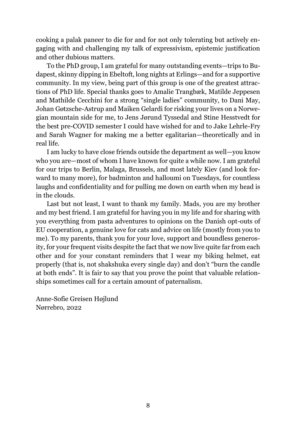cooking a palak paneer to die for and for not only tolerating but actively engaging with and challenging my talk of expressivism, epistemic justification and other dubious matters.

To the PhD group, I am grateful for many outstanding events—trips to Budapest, skinny dipping in Ebeltoft, long nights at Erlings—and for a supportive community. In my view, being part of this group is one of the greatest attractions of PhD life. Special thanks goes to Amalie Trangbæk, Matilde Jeppesen and Mathilde Cecchini for a strong "single ladies" community, to Dani May, Johan Gøtzsche-Astrup and Maiken Gelardi for risking your lives on a Norwegian mountain side for me, to Jens Jørund Tyssedal and Stine Hesstvedt for the best pre-COVID semester I could have wished for and to Jake Lehrle-Fry and Sarah Wagner for making me a better egalitarian—theoretically and in real life.

I am lucky to have close friends outside the department as well—you know who you are—most of whom I have known for quite a while now. I am grateful for our trips to Berlin, Malaga, Brussels, and most lately Kiev (and look forward to many more), for badminton and halloumi on Tuesdays, for countless laughs and confidentiality and for pulling me down on earth when my head is in the clouds.

Last but not least, I want to thank my family. Mads, you are my brother and my best friend. I am grateful for having you in my life and for sharing with you everything from pasta adventures to opinions on the Danish opt-outs of EU cooperation, a genuine love for cats and advice on life (mostly from you to me). To my parents, thank you for your love, support and boundless generosity, for your frequent visits despite the fact that we now live quite far from each other and for your constant reminders that I wear my biking helmet, eat properly (that is, not shakshuka every single day) and don't "burn the candle at both ends". It is fair to say that you prove the point that valuable relationships sometimes call for a certain amount of paternalism.

Anne-Sofie Greisen Højlund Nørrebro, 2022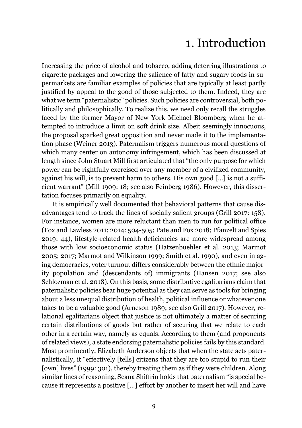## 1. Introduction

<span id="page-8-0"></span>Increasing the price of alcohol and tobacco, adding deterring illustrations to cigarette packages and lowering the salience of fatty and sugary foods in supermarkets are familiar examples of policies that are typically at least partly justified by appeal to the good of those subjected to them. Indeed, they are what we term "paternalistic" policies. Such policies are controversial, both politically and philosophically. To realize this, we need only recall the struggles faced by the former Mayor of New York Michael Bloomberg when he attempted to introduce a limit on soft drink size. Albeit seemingly innocuous, the proposal sparked great opposition and never made it to the implementation phase (Weiner 2013). Paternalism triggers numerous moral questions of which many center on autonomy infringement, which has been discussed at length since John Stuart Mill first articulated that "the only purpose for which power can be rightfully exercised over any member of a civilized community, against his will, is to prevent harm to others. His own good […] is not a sufficient warrant" (Mill 1909: 18; see also Feinberg 1986). However, this dissertation focuses primarily on equality.

It is empirically well documented that behavioral patterns that cause disadvantages tend to track the lines of socially salient groups (Grill 2017: 158). For instance, women are more reluctant than men to run for political office (Fox and Lawless 2011; 2014: 504-505; Pate and Fox 2018; Pfanzelt and Spies 2019: 44), lifestyle-related health deficiencies are more widespread among those with low socioeconomic status (Hatzenbuehler et al. 2013; Marmot 2005; 2017; Marmot and Wilkinson 1999; Smith et al. 1990), and even in aging democracies, voter turnout differs considerably between the ethnic majority population and (descendants of) immigrants (Hansen 2017; see also Schlozman et al. 2018). On this basis, some distributive egalitarians claim that paternalistic policies bear huge potential as they can serve as tools for bringing about a less unequal distribution of health, political influence or whatever one takes to be a valuable good (Arneson 1989; see also Grill 2017). However, relational egalitarians object that justice is not ultimately a matter of securing certain distributions of goods but rather of securing that we relate to each other in a certain way, namely as equals. According to them (and proponents of related views), a state endorsing paternalistic policies fails by this standard. Most prominently, Elizabeth Anderson objects that when the state acts paternalistically, it "effectively [tells] citizens that they are too stupid to run their [own] lives" (1999: 301), thereby treating them as if they were children. Along similar lines of reasoning, Seana Shiffrin holds that paternalism "is special because it represents a positive […] effort by another to insert her will and have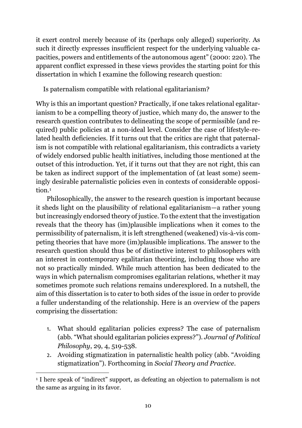it exert control merely because of its (perhaps only alleged) superiority. As such it directly expresses insufficient respect for the underlying valuable capacities, powers and entitlements of the autonomous agent" (2000: 220). The apparent conflict expressed in these views provides the starting point for this dissertation in which I examine the following research question:

Is paternalism compatible with relational egalitarianism?

Why is this an important question? Practically, if one takes relational egalitarianism to be a compelling theory of justice, which many do, the answer to the research question contributes to delineating the scope of permissible (and required) public policies at a non-ideal level. Consider the case of lifestyle-related health deficiencies. If it turns out that the critics are right that paternalism is not compatible with relational egalitarianism, this contradicts a variety of widely endorsed public health initiatives, including those mentioned at the outset of this introduction. Yet, if it turns out that they are not right, this can be taken as indirect support of the implementation of (at least some) seemingly desirable paternalistic policies even in contexts of considerable opposition.<sup>1</sup>

Philosophically, the answer to the research question is important because it sheds light on the plausibility of relational egalitarianism—a rather young but increasingly endorsed theory of justice. To the extent that the investigation reveals that the theory has (im)plausible implications when it comes to the permissibility of paternalism, it is left strengthened (weakened) vis-à-vis competing theories that have more (im)plausible implications. The answer to the research question should thus be of distinctive interest to philosophers with an interest in contemporary egalitarian theorizing, including those who are not so practically minded. While much attention has been dedicated to the ways in which paternalism compromises egalitarian relations, whether it may sometimes promote such relations remains underexplored. In a nutshell, the aim of this dissertation is to cater to both sides of the issue in order to provide a fuller understanding of the relationship. Here is an overview of the papers comprising the dissertation:

- 1. What should egalitarian policies express? The case of paternalism (abb. "What should egalitarian policies express?"). *Journal of Political Philosophy*, 29, 4, 519-538.
- 2. Avoiding stigmatization in paternalistic health policy (abb. "Avoiding stigmatization"). Forthcoming in *Social Theory and Practice*.

 $\overline{a}$ <sup>1</sup> I here speak of "indirect" support, as defeating an objection to paternalism is not the same as arguing in its favor.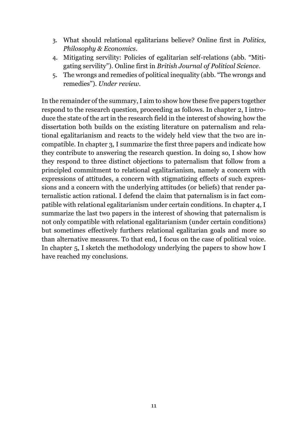- 3. What should relational egalitarians believe? Online first in *Politics, Philosophy & Economics*.
- 4. Mitigating servility: Policies of egalitarian self-relations (abb. "Mitigating servility"). Online first in *British Journal of Political Science*.
- 5. The wrongs and remedies of political inequality (abb. "The wrongs and remedies"). *Under review.*

In the remainder of the summary, I aim to show how these five papers together respond to the research question, proceeding as follows. In chapter 2, I introduce the state of the art in the research field in the interest of showing how the dissertation both builds on the existing literature on paternalism and relational egalitarianism and reacts to the widely held view that the two are incompatible. In chapter 3, I summarize the first three papers and indicate how they contribute to answering the research question. In doing so, I show how they respond to three distinct objections to paternalism that follow from a principled commitment to relational egalitarianism, namely a concern with expressions of attitudes, a concern with stigmatizing effects of such expressions and a concern with the underlying attitudes (or beliefs) that render paternalistic action rational. I defend the claim that paternalism is in fact compatible with relational egalitarianism under certain conditions. In chapter 4, I summarize the last two papers in the interest of showing that paternalism is not only compatible with relational egalitarianism (under certain conditions) but sometimes effectively furthers relational egalitarian goals and more so than alternative measures. To that end, I focus on the case of political voice. In chapter 5, I sketch the methodology underlying the papers to show how I have reached my conclusions.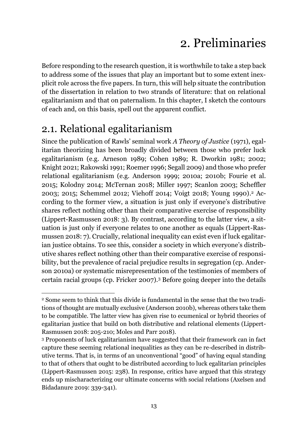# 2. Preliminaries

<span id="page-12-0"></span>Before responding to the research question, it is worthwhile to take a step back to address some of the issues that play an important but to some extent inexplicit role across the five papers. In turn, this will help situate the contribution of the dissertation in relation to two strands of literature: that on relational egalitarianism and that on paternalism. In this chapter, I sketch the contours of each and, on this basis, spell out the apparent conflict.

### <span id="page-12-1"></span>2.1. Relational egalitarianism

Since the publication of Rawls' seminal work *A Theory of Justice* (1971), egalitarian theorizing has been broadly divided between those who prefer luck egalitarianism (e.g. Arneson 1989; Cohen 1989; R. Dworkin 1981; 2002; Knight 2021; Rakowski 1991; Roemer 1996; Segall 2009) and those who prefer relational egalitarianism (e.g. Anderson 1999; 2010a; 2010b; Fourie et al. 2015; Kolodny 2014; McTernan 2018; Miller 1997; Scanlon 2003; Scheffler 2003; 2015; Schemmel 2012; Viehoff 2014; Voigt 2018; Young 1990). <sup>2</sup> According to the former view, a situation is just only if everyone's distributive shares reflect nothing other than their comparative exercise of responsibility (Lippert-Rasmussen 2018: 3). By contrast, according to the latter view, a situation is just only if everyone relates to one another as equals (Lippert-Rasmussen 2018: 7). Crucially, relational inequality can exist even if luck egalitarian justice obtains. To see this, consider a society in which everyone's distributive shares reflect nothing other than their comparative exercise of responsibility, but the prevalence of racial prejudice results in segregation (cp. Anderson 2010a) or systematic misrepresentation of the testimonies of members of certain racial groups (cp. Fricker 2007).<sup>3</sup> Before going deeper into the details

 $\overline{a}$ <sup>2</sup> Some seem to think that this divide is fundamental in the sense that the two traditions of thought are mutually exclusive (Anderson 2010b), whereas others take them to be compatible. The latter view has given rise to ecumenical or hybrid theories of egalitarian justice that build on both distributive and relational elements (Lippert-Rasmussen 2018: 205-210; Moles and Parr 2018).

<sup>3</sup> Proponents of luck egalitarianism have suggested that their framework can in fact capture these seeming relational inequalities as they can be re-described in distributive terms. That is, in terms of an unconventional "good" of having equal standing to that of others that ought to be distributed according to luck egalitarian principles (Lippert-Rasmussen 2015: 238). In response, critics have argued that this strategy ends up mischaracterizing our ultimate concerns with social relations (Axelsen and Bidadanure 2019: 339-341).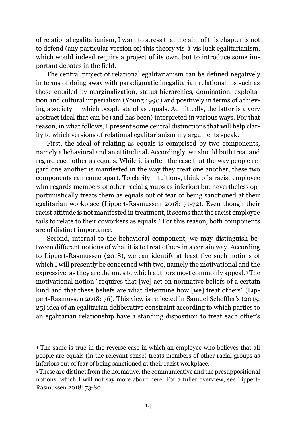of relational egalitarianism, I want to stress that the aim of this chapter is not to defend (any particular version of) this theory vis-à-vis luck egalitarianism, which would indeed require a project of its own, but to introduce some important debates in the field.

The central project of relational egalitarianism can be defined negatively in terms of doing away with paradigmatic inegalitarian relationships such as those entailed by marginalization, status hierarchies, domination, exploitation and cultural imperialism (Young 1990) and positively in terms of achieving a society in which people stand as equals. Admittedly, the latter is a very abstract ideal that can be (and has been) interpreted in various ways. For that reason, in what follows, I present some central distinctions that will help clarify to which versions of relational egalitarianism my arguments speak.

First, the ideal of relating as equals is comprised by two components, namely a behavioral and an attitudinal. Accordingly, we should both treat and regard each other as equals. While it is often the case that the way people regard one another is manifested in the way they treat one another, these two components can come apart. To clarify intuitions, think of a racist employee who regards members of other racial groups as inferiors but nevertheless opportunistically treats them as equals out of fear of being sanctioned at their egalitarian workplace (Lippert-Rasmussen 2018: 71-72). Even though their racist attitude is not manifested in treatment, it seems that the racist employee fails to relate to their coworkers as equals.<sup>4</sup> For this reason, both components are of distinct importance.

Second, internal to the behavioral component, we may distinguish between different notions of what it is to treat others in a certain way. According to Lippert-Rasmussen (2018), we can identify at least five such notions of which I will presently be concerned with two, namely the motivational and the expressive, as they are the ones to which authors most commonly appeal.<sup>5</sup> The motivational notion "requires that [we] act on normative beliefs of a certain kind and that these beliefs are what determine how [we] treat others" (Lippert-Rasmussen 2018: 76). This view is reflected in Samuel Scheffler's (2015: 25) idea of an egalitarian deliberative constraint according to which parties to an egalitarian relationship have a standing disposition to treat each other's

 $\overline{a}$ 

<sup>4</sup> The same is true in the reverse case in which an employee who believes that all people are equals (in the relevant sense) treats members of other racial groups as inferiors out of fear of being sanctioned at their racist workplace.

<sup>5</sup> These are distinct from the normative, the communicative and the presuppositional notions, which I will not say more about here. For a fuller overview, see Lippert-Rasmussen 2018: 73-80.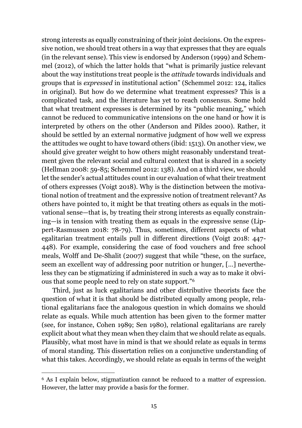strong interests as equally constraining of their joint decisions. On the expressive notion, we should treat others in a way that expresses that they are equals (in the relevant sense). This view is endorsed by Anderson (1999) and Schemmel (2012), of which the latter holds that "what is primarily justice relevant about the way institutions treat people is the *attitude* towards individuals and groups that is *expressed* in institutional action" (Schemmel 2012: 124, italics in original). But how do we determine what treatment expresses? This is a complicated task, and the literature has yet to reach consensus. Some hold that what treatment expresses is determined by its "public meaning," which cannot be reduced to communicative intensions on the one hand or how it is interpreted by others on the other (Anderson and Pildes 2000). Rather, it should be settled by an external normative judgment of how well we express the attitudes we ought to have toward others (ibid: 1513). On another view, we should give greater weight to how others might reasonably understand treatment given the relevant social and cultural context that is shared in a society (Hellman 2008: 59-85; Schemmel 2012: 138). And on a third view, we should let the sender's actual attitudes count in our evaluation of what their treatment of others expresses (Voigt 2018). Why is the distinction between the motivational notion of treatment and the expressive notion of treatment relevant? As others have pointed to, it might be that treating others as equals in the motivational sense—that is, by treating their strong interests as equally constraining—is in tension with treating them as equals in the expressive sense (Lippert-Rasmussen 2018: 78-79). Thus, sometimes, different aspects of what egalitarian treatment entails pull in different directions (Voigt 2018: 447- 448). For example, considering the case of food vouchers and free school meals, Wolff and De-Shalit (2007) suggest that while "these, on the surface, seem an excellent way of addressing poor nutrition or hunger, […] nevertheless they can be stigmatizing if administered in such a way as to make it obvious that some people need to rely on state support."<sup>6</sup>

Third, just as luck egalitarians and other distributive theorists face the question of what it is that should be distributed equally among people, relational egalitarians face the analogous question in which domains we should relate as equals. While much attention has been given to the former matter (see, for instance, Cohen 1989; Sen 1980), relational egalitarians are rarely explicit about what they mean when they claim that we should relate as equals. Plausibly, what most have in mind is that we should relate as equals in terms of moral standing. This dissertation relies on a conjunctive understanding of what this takes. Accordingly, we should relate as equals in terms of the weight

 $\overline{a}$ 

<sup>6</sup> As I explain below, stigmatization cannot be reduced to a matter of expression. However, the latter may provide a basis for the former.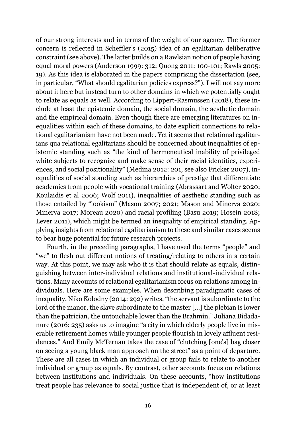of our strong interests and in terms of the weight of our agency. The former concern is reflected in Scheffler's (2015) idea of an egalitarian deliberative constraint (see above). The latter builds on a Rawlsian notion of people having equal moral powers (Anderson 1999: 312; Quong 2011: 100-101; Rawls 2005: 19). As this idea is elaborated in the papers comprising the dissertation (see, in particular, "What should egalitarian policies express?"), I will not say more about it here but instead turn to other domains in which we potentially ought to relate as equals as well. According to Lippert-Rasmussen (2018), these include at least the epistemic domain, the social domain, the aesthetic domain and the empirical domain. Even though there are emerging literatures on inequalities within each of these domains, to date explicit connections to relational egalitarianism have not been made. Yet it seems that relational egalitarians qua relational egalitarians should be concerned about inequalities of epistemic standing such as "the kind of hermeneutical inability of privileged white subjects to recognize and make sense of their racial identities, experiences, and social positionality" (Medina 2012: 201, see also Fricker 2007), inequalities of social standing such as hierarchies of prestige that differentiate academics from people with vocational training (Abrassart and Wolter 2020; Koulaidis et al 2006; Wolf 2011), inequalities of aesthetic standing such as those entailed by "lookism" (Mason 2007; 2021; Mason and Minerva 2020; Minerva 2017; Moreau 2020) and racial profiling (Basu 2019; Hosein 2018; Lever 2011), which might be termed an inequality of empirical standing. Applying insights from relational egalitarianism to these and similar cases seems to bear huge potential for future research projects.

Fourth, in the preceding paragraphs, I have used the terms "people" and "we" to flesh out different notions of treating/relating to others in a certain way. At this point, we may ask who it is that should relate as equals, distinguishing between inter-individual relations and institutional-individual relations. Many accounts of relational egalitarianism focus on relations among individuals. Here are some examples. When describing paradigmatic cases of inequality, Niko Kolodny (2014: 292) writes, "the servant is subordinate to the lord of the manor, the slave subordinate to the master […] the plebian is lower than the patrician, the untouchable lower than the Brahmin." Juliana Bidadanure (2016: 235) asks us to imagine "a city in which elderly people live in miserable retirement homes while younger people flourish in lovely affluent residences." And Emily McTernan takes the case of "clutching [one's] bag closer on seeing a young black man approach on the street" as a point of departure. These are all cases in which an individual or group fails to relate to another individual or group as equals. By contrast, other accounts focus on relations between institutions and individuals. On these accounts, "how institutions treat people has relevance to social justice that is independent of, or at least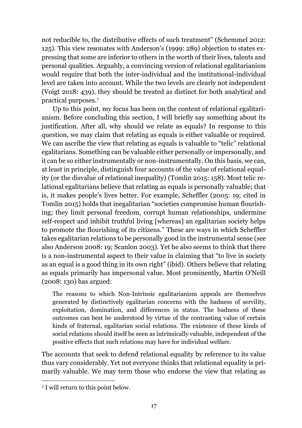not reducible to, the distributive effects of such treatment" (Schemmel 2012: 125). This view resonates with Anderson's (1999: 289) objection to states expressing that some are inferior to others in the worth of their lives, talents and personal qualities. Arguably, a convincing version of relational egalitarianism would require that both the inter-individual and the institutional-individual level are taken into account. While the two levels are clearly not independent (Voigt 2018: 439), they should be treated as distinct for both analytical and practical purposes.<sup>7</sup>

Up to this point, my focus has been on the content of relational egalitarianism. Before concluding this section, I will briefly say something about its justification. After all, why should we relate as equals? In response to this question, we may claim that relating as equals is either valuable or required. We can ascribe the view that relating as equals is valuable to "telic" relational egalitarians. Something can be valuable either personally or impersonally, and it can be so either instrumentally or non-instrumentally. On this basis, we can, at least in principle, distinguish four accounts of the value of relational equality (or the disvalue of relational inequality) (Tomlin 2015: 158). Most telic relational egalitarians believe that relating as equals is personally valuable; that is, it makes people's lives better. For example, Scheffler (2005: 19; cited in Tomlin 2015) holds that inegalitarian "societies compromise human flourishing; they limit personal freedom, corrupt human relationships, undermine self-respect and inhibit truthful living [whereas] an egalitarian society helps to promote the flourishing of its citizens." These are ways in which Scheffler takes egalitarian relations to be personally good in the instrumental sense (see also Anderson 2008: 19; Scanlon 2003). Yet he also seems to think that there is a non-instrumental aspect to their value in claiming that "to live in society as an equal is a good thing in its own right" (ibid). Others believe that relating as equals primarily has impersonal value. Most prominently, Martin O'Neill (2008: 130) has argued:

The reasons to which Non-Intrinsic egalitarianism appeals are themselves generated by distinctively egalitarian concerns with the badness of servility, exploitation, domination, and differences in status. The badness of these outcomes can best be understood by virtue of the contrasting value of certain kinds of fraternal, egalitarian social relations. The existence of these kinds of social relations should itself be seen as intrinsically valuable, independent of the positive effects that such relations may have for individual welfare.

The accounts that seek to defend relational equality by reference to its value thus vary considerably. Yet not everyone thinks that relational equality is primarily valuable. We may term those who endorse the view that relating as

 $\overline{a}$ 

<sup>7</sup> I will return to this point below.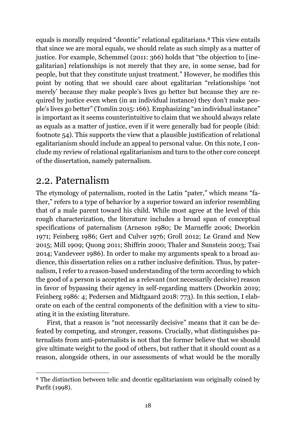equals is morally required "deontic" relational egalitarians.<sup>8</sup> This view entails that since we are moral equals, we should relate as such simply as a matter of justice. For example, Schemmel (2011: 366) holds that "the objection to [inegalitarian] relationships is not merely that they are, in some sense, bad for people, but that they constitute unjust treatment." However, he modifies this point by noting that we should care about egalitarian "relationships 'not merely' because they make people's lives go better but because they are required by justice even when (in an individual instance) they don't make people's lives go better" (Tomlin 2015: 166). Emphasizing "an individual instance" is important as it seems counterintuitive to claim that we should always relate as equals as a matter of justice, even if it were generally bad for people (ibid: footnote 54). This supports the view that a plausible justification of relational egalitarianism should include an appeal to personal value. On this note, I conclude my review of relational egalitarianism and turn to the other core concept of the dissertation, namely paternalism.

### <span id="page-17-0"></span>2.2. Paternalism

The etymology of paternalism, rooted in the Latin "pater," which means "father," refers to a type of behavior by a superior toward an inferior resembling that of a male parent toward his child. While most agree at the level of this rough characterization, the literature includes a broad span of conceptual specifications of paternalism (Arneson 1980; De Marneffe 2006; Dworkin 1971; Feinberg 1986; Gert and Culver 1976; Groll 2012; Le Grand and New 2015; Mill 1909; Quong 2011; Shiffrin 2000; Thaler and Sunstein 2003; Tsai 2014; Vandeveer 1986). In order to make my arguments speak to a broad audience, this dissertation relies on a rather inclusive definition. Thus, by paternalism, I refer to a reason-based understanding of the term according to which the good of a person is accepted as a relevant (not necessarily decisive) reason in favor of bypassing their agency in self-regarding matters (Dworkin 2019; Feinberg 1986: 4; Pedersen and Midtgaard 2018: 773). In this section, I elaborate on each of the central components of the definition with a view to situating it in the existing literature.

First, that a reason is "not necessarily decisive" means that it can be defeated by competing, and stronger, reasons. Crucially, what distinguishes paternalists from anti-paternalists is not that the former believe that we should give ultimate weight to the good of others, but rather that it should count as a reason, alongside others, in our assessments of what would be the morally

 $\overline{a}$ <sup>8</sup> The distinction between telic and deontic egalitarianism was originally coined by Parfit (1998).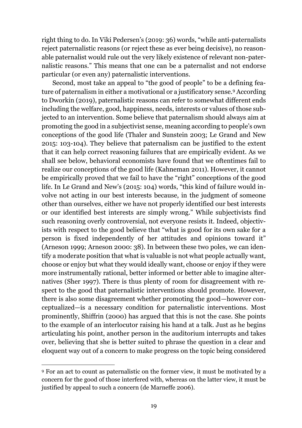right thing to do. In Viki Pedersen's (2019: 36) words, "while anti-paternalists reject paternalistic reasons (or reject these as ever being decisive), no reasonable paternalist would rule out the very likely existence of relevant non-paternalistic reasons." This means that one can be a paternalist and not endorse particular (or even any) paternalistic interventions.

Second, most take an appeal to "the good of people" to be a defining feature of paternalism in either a motivational or a justificatory sense.<sup>9</sup> According to Dworkin (2019), paternalistic reasons can refer to somewhat different ends including the welfare, good, happiness, needs, interests or values of those subjected to an intervention. Some believe that paternalism should always aim at promoting the good in a subjectivist sense, meaning according to people's own conceptions of the good life (Thaler and Sunstein 2003; Le Grand and New 2015: 103-104). They believe that paternalism can be justified to the extent that it can help correct reasoning failures that are empirically evident. As we shall see below, behavioral economists have found that we oftentimes fail to realize our conceptions of the good life (Kahneman 2011). However, it cannot be empirically proved that we fail to have the "right" conceptions of the good life. In Le Grand and New's (2015: 104) words, "this kind of failure would involve not acting in our best interests because, in the judgment of someone other than ourselves, either we have not properly identified our best interests or our identified best interests are simply wrong." While subjectivists find such reasoning overly controversial, not everyone resists it. Indeed, objectivists with respect to the good believe that "what is good for its own sake for a person is fixed independently of her attitudes and opinions toward it" (Arneson 1999; Arneson 2000: 38). In between these two poles, we can identify a moderate position that what is valuable is not what people actually want, choose or enjoy but what they would ideally want, choose or enjoy if they were more instrumentally rational, better informed or better able to imagine alternatives (Sher 1997). There is thus plenty of room for disagreement with respect to the good that paternalistic interventions should promote. However, there is also some disagreement whether promoting the good—however conceptualized—is a necessary condition for paternalistic interventions. Most prominently, Shiffrin (2000) has argued that this is not the case. She points to the example of an interlocutor raising his hand at a talk. Just as he begins articulating his point, another person in the auditorium interrupts and takes over, believing that she is better suited to phrase the question in a clear and eloquent way out of a concern to make progress on the topic being considered

 $\overline{a}$ 

<sup>9</sup> For an act to count as paternalistic on the former view, it must be motivated by a concern for the good of those interfered with, whereas on the latter view, it must be justified by appeal to such a concern (de Marneffe 2006).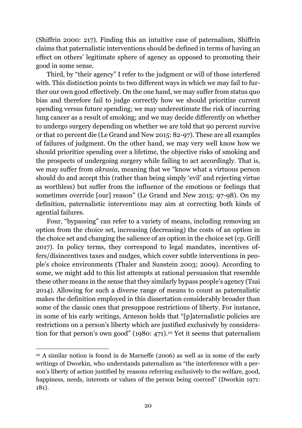(Shiffrin 2000: 217). Finding this an intuitive case of paternalism, Shiffrin claims that paternalistic interventions should be defined in terms of having an effect on others' legitimate sphere of agency as opposed to promoting their good in some sense.

Third, by "their agency" I refer to the judgment or will of those interfered with. This distinction points to two different ways in which we may fail to further our own good effectively. On the one hand, we may suffer from status quo bias and therefore fail to judge correctly how we should prioritize current spending versus future spending; we may underestimate the risk of incurring lung cancer as a result of smoking; and we may decide differently on whether to undergo surgery depending on whether we are told that 90 percent survive or that 10 percent die (Le Grand and New 2015: 82-97). These are all examples of failures of judgment. On the other hand, we may very well know how we should prioritize spending over a lifetime, the objective risks of smoking and the prospects of undergoing surgery while failing to act accordingly. That is, we may suffer from *akrasia*, meaning that we "know what a virtuous person should do and accept this (rather than being simply 'evil' and rejecting virtue as worthless) but suffer from the influence of the emotions or feelings that sometimes override [our] reason" (Le Grand and New 2015: 97-98). On my definition, paternalistic interventions may aim at correcting both kinds of agential failures.

Four, "bypassing" can refer to a variety of means, including removing an option from the choice set, increasing (decreasing) the costs of an option in the choice set and changing the salience of an option in the choice set (cp. Grill 2017). In policy terms, they correspond to legal mandates, incentives offers/disincentives taxes and nudges, which cover subtle interventions in people's choice environments (Thaler and Sunstein 2003; 2009). According to some, we might add to this list attempts at rational persuasion that resemble these other means in the sense that they similarly bypass people's agency (Tsai 2014). Allowing for such a diverse range of means to count as paternalistic makes the definition employed in this dissertation considerably broader than some of the classic ones that presuppose restrictions of liberty. For instance, in some of his early writings, Arneson holds that "[p]aternalistic policies are restrictions on a person's liberty which are justified exclusively by consideration for that person's own good" (1980: 471).<sup>10</sup> Yet it seems that paternalism

 $\overline{a}$ 

<sup>10</sup> A similar notion is found in de Marneffe (2006) as well as in some of the early writings of Dworkin, who understands paternalism as "the interference with a person's liberty of action justified by reasons referring exclusively to the welfare, good, happiness, needs, interests or values of the person being coerced" (Dworkin 1971: 181).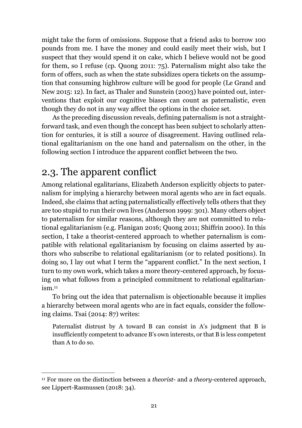might take the form of omissions. Suppose that a friend asks to borrow 100 pounds from me. I have the money and could easily meet their wish, but I suspect that they would spend it on cake, which I believe would not be good for them, so I refuse (cp. Quong 2011: 75). Paternalism might also take the form of offers, such as when the state subsidizes opera tickets on the assumption that consuming highbrow culture will be good for people (Le Grand and New 2015: 12). In fact, as Thaler and Sunstein (2003) have pointed out, interventions that exploit our cognitive biases can count as paternalistic, even though they do not in any way affect the options in the choice set.

As the preceding discussion reveals, defining paternalism is not a straightforward task, and even though the concept has been subject to scholarly attention for centuries, it is still a source of disagreement. Having outlined relational egalitarianism on the one hand and paternalism on the other, in the following section I introduce the apparent conflict between the two.

### <span id="page-20-0"></span>2.3. The apparent conflict

Among relational egalitarians, Elizabeth Anderson explicitly objects to paternalism for implying a hierarchy between moral agents who are in fact equals. Indeed, she claims that acting paternalistically effectively tells others that they are too stupid to run their own lives (Anderson 1999: 301). Many others object to paternalism for similar reasons, although they are not committed to relational egalitarianism (e.g. Flanigan 2016; Quong 2011; Shiffrin 2000). In this section, I take a theorist-centered approach to whether paternalism is compatible with relational egalitarianism by focusing on claims asserted by authors who subscribe to relational egalitarianism (or to related positions). In doing so, I lay out what I term the "apparent conflict." In the next section, I turn to my own work, which takes a more theory-centered approach, by focusing on what follows from a principled commitment to relational egalitarianism.<sup>11</sup>

To bring out the idea that paternalism is objectionable because it implies a hierarchy between moral agents who are in fact equals, consider the following claims. Tsai (2014: 87) writes:

Paternalist distrust by A toward B can consist in A's judgment that B is insufficiently competent to advance B's own interests, or that B is less competent than A to do so.

 $\overline{a}$ <sup>11</sup> For more on the distinction between a *theorist*- and a *theory*-centered approach, see Lippert-Rasmussen (2018: 34).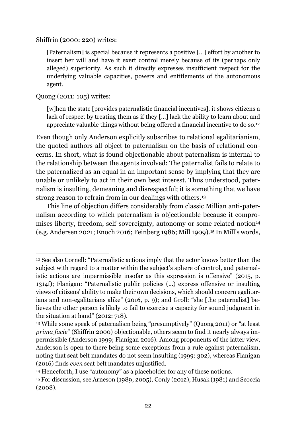Shiffrin (2000: 220) writes:

[Paternalism] is special because it represents a positive […] effort by another to insert her will and have it exert control merely because of its (perhaps only alleged) superiority. As such it directly expresses insufficient respect for the underlying valuable capacities, powers and entitlements of the autonomous agent.

Quong (2011: 105) writes:

[w]hen the state [provides paternalistic financial incentives], it shows citizens a lack of respect by treating them as if they […] lack the ability to learn about and appreciate valuable things without being offered a financial incentive to do so.<sup>12</sup>

Even though only Anderson explicitly subscribes to relational egalitarianism, the quoted authors all object to paternalism on the basis of relational concerns. In short, what is found objectionable about paternalism is internal to the relationship between the agents involved: The paternalist fails to relate to the paternalized as an equal in an important sense by implying that they are unable or unlikely to act in their own best interest. Thus understood, paternalism is insulting, demeaning and disrespectful; it is something that we have strong reason to refrain from in our dealings with others.<sup>13</sup>

This line of objection differs considerably from classic Millian anti-paternalism according to which paternalism is objectionable because it compromises liberty, freedom, self-sovereignty, autonomy or some related notion<sup>14</sup> (e.g. Andersen 2021; Enoch 2016; Feinberg 1986; Mill 1909).<sup>15</sup> In Mill's words,

 $\overline{a}$ <sup>12</sup> See also Cornell: "Paternalistic actions imply that the actor knows better than the subject with regard to a matter within the subject's sphere of control, and paternalistic actions are impermissible insofar as this expression is offensive" (2015, p. 1314f); Flanigan: "Paternalistic public policies (…) express offensive or insulting views of citizens' ability to make their own decisions, which should concern egalitarians and non-egalitarians alike" (2016, p. 9); and Groll: "she [the paternalist] believes the other person is likely to fail to exercise a capacity for sound judgment in the situation at hand" (2012: 718).

<sup>13</sup> While some speak of paternalism being "presumptively" (Quong 2011) or "at least *prima facie*" (Shiffrin 2000) objectionable, others seem to find it nearly always impermissible (Anderson 1999; Flanigan 2016). Among proponents of the latter view, Anderson is open to there being some exceptions from a rule against paternalism, noting that seat belt mandates do not seem insulting (1999: 302), whereas Flanigan (2016) finds *even* seat belt mandates unjustified.

<sup>14</sup> Henceforth, I use "autonomy" as a placeholder for any of these notions.

<sup>15</sup> For discussion, see Arneson (1989; 2005), Conly (2012), Husak (1981) and Scoccia (2008).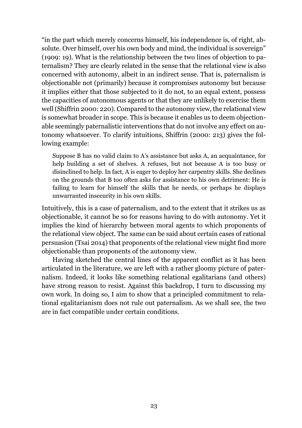"in the part which merely concerns himself, his independence is, of right, absolute. Over himself, over his own body and mind, the individual is sovereign" (1909: 19). What is the relationship between the two lines of objection to paternalism? They are clearly related in the sense that the relational view is also concerned with autonomy, albeit in an indirect sense. That is, paternalism is objectionable not (primarily) because it compromises autonomy but because it implies either that those subjected to it do not, to an equal extent, possess the capacities of autonomous agents or that they are unlikely to exercise them well (Shiffrin 2000: 220). Compared to the autonomy view, the relational view is somewhat broader in scope. This is because it enables us to deem objectionable seemingly paternalistic interventions that do not involve any effect on autonomy whatsoever. To clarify intuitions, Shiffrin (2000: 213) gives the following example:

Suppose B has no valid claim to A's assistance but asks A, an acquaintance, for help building a set of shelves. A refuses, but not because A is too busy or disinclined to help. In fact, A is eager to deploy her carpentry skills. She declines on the grounds that B too often asks for assistance to his own detriment: He is failing to learn for himself the skills that he needs, or perhaps he displays unwarranted insecurity in his own skills.

Intuitively, this is a case of paternalism, and to the extent that it strikes us as objectionable, it cannot be so for reasons having to do with autonomy. Yet it implies the kind of hierarchy between moral agents to which proponents of the relational view object. The same can be said about certain cases of rational persuasion (Tsai 2014) that proponents of the relational view might find more objectionable than proponents of the autonomy view.

Having sketched the central lines of the apparent conflict as it has been articulated in the literature, we are left with a rather gloomy picture of paternalism. Indeed, it looks like something relational egalitarians (and others) have strong reason to resist. Against this backdrop, I turn to discussing my own work. In doing so, I aim to show that a principled commitment to relational egalitarianism does not rule out paternalism. As we shall see, the two are in fact compatible under certain conditions.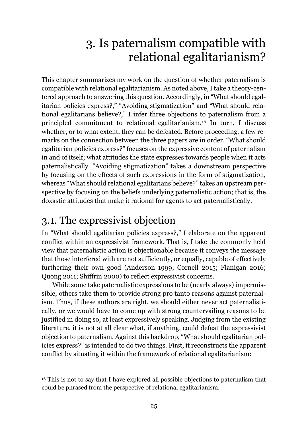# 3. Is paternalism compatible with relational egalitarianism?

<span id="page-24-0"></span>This chapter summarizes my work on the question of whether paternalism is compatible with relational egalitarianism. As noted above, I take a theory-centered approach to answering this question. Accordingly, in "What should egalitarian policies express?," "Avoiding stigmatization" and "What should relational egalitarians believe?," I infer three objections to paternalism from a principled commitment to relational egalitarianism.<sup>16</sup> In turn, I discuss whether, or to what extent, they can be defeated. Before proceeding, a few remarks on the connection between the three papers are in order. "What should egalitarian policies express?" focuses on the expressive content of paternalism in and of itself; what attitudes the state expresses towards people when it acts paternalistically. "Avoiding stigmatization" takes a downstream perspective by focusing on the effects of such expressions in the form of stigmatization, whereas "What should relational egalitarians believe?" takes an upstream perspective by focusing on the beliefs underlying paternalistic action; that is, the doxastic attitudes that make it rational for agents to act paternalistically.

### <span id="page-24-1"></span>3.1. The expressivist objection

In "What should egalitarian policies express?," I elaborate on the apparent conflict within an expressivist framework. That is, I take the commonly held view that paternalistic action is objectionable because it conveys the message that those interfered with are not sufficiently, or equally, capable of effectively furthering their own good (Anderson 1999; Cornell 2015; Flanigan 2016; Quong 2011; Shiffrin 2000) to reflect expressivist concerns.

While some take paternalistic expressions to be (nearly always) impermissible, others take them to provide strong pro tanto reasons against paternalism. Thus, if these authors are right, we should either never act paternalistically, or we would have to come up with strong countervailing reasons to be justified in doing so, at least expressively speaking. Judging from the existing literature, it is not at all clear what, if anything, could defeat the expressivist objection to paternalism. Against this backdrop, "What should egalitarian policies express?" is intended to do two things. First, it reconstructs the apparent conflict by situating it within the framework of relational egalitarianism:

 $\overline{a}$ <sup>16</sup> This is not to say that I have explored all possible objections to paternalism that could be phrased from the perspective of relational egalitarianism.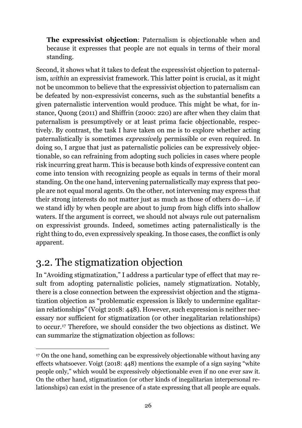**The expressivist objection**: Paternalism is objectionable when and because it expresses that people are not equals in terms of their moral standing.

Second, it shows what it takes to defeat the expressivist objection to paternalism, *within* an expressivist framework. This latter point is crucial, as it might not be uncommon to believe that the expressivist objection to paternalism can be defeated by non-expressivist concerns, such as the substantial benefits a given paternalistic intervention would produce. This might be what, for instance, Quong (2011) and Shiffrin (2000: 220) are after when they claim that paternalism is presumptively or at least prima facie objectionable, respectively. By contrast, the task I have taken on me is to explore whether acting paternalistically is sometimes *expressively* permissible or even required. In doing so, I argue that just as paternalistic policies can be expressively objectionable, so can refraining from adopting such policies in cases where people risk incurring great harm. This is because both kinds of expressive content can come into tension with recognizing people as equals in terms of their moral standing. On the one hand, intervening paternalistically may express that people are not equal moral agents. On the other, not intervening may express that their strong interests do not matter just as much as those of others do—i.e. if we stand idly by when people are about to jump from high cliffs into shallow waters. If the argument is correct, we should not always rule out paternalism on expressivist grounds. Indeed, sometimes acting paternalistically is the right thing to do, even expressively speaking. In those cases, the conflict is only apparent.

## <span id="page-25-0"></span>3.2. The stigmatization objection

In "Avoiding stigmatization," I address a particular type of effect that may result from adopting paternalistic policies, namely stigmatization. Notably, there is a close connection between the expressivist objection and the stigmatization objection as "problematic expression is likely to undermine egalitarian relationships" (Voigt 2018: 448). However, such expression is neither necessary nor sufficient for stigmatization (or other inegalitarian relationships) to occur.<sup>17</sup> Therefore, we should consider the two objections as distinct. We can summarize the stigmatization objection as follows:

 $\overline{a}$ <sup>17</sup> On the one hand, something can be expressively objectionable without having any effects whatsoever. Voigt (2018: 448) mentions the example of a sign saying "white people only," which would be expressively objectionable even if no one ever saw it. On the other hand, stigmatization (or other kinds of inegalitarian interpersonal relationships) can exist in the presence of a state expressing that all people are equals.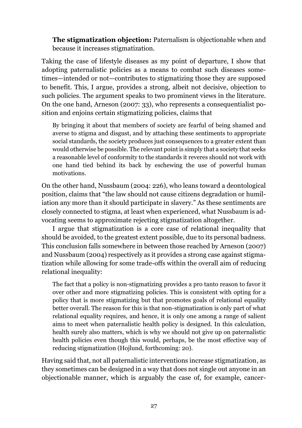**The stigmatization objection:** Paternalism is objectionable when and because it increases stigmatization.

Taking the case of lifestyle diseases as my point of departure, I show that adopting paternalistic policies as a means to combat such diseases sometimes—intended or not—contributes to stigmatizing those they are supposed to benefit. This, I argue, provides a strong, albeit not decisive, objection to such policies. The argument speaks to two prominent views in the literature. On the one hand, Arneson (2007: 33), who represents a consequentialist position and enjoins certain stigmatizing policies, claims that

By bringing it about that members of society are fearful of being shamed and averse to stigma and disgust, and by attaching these sentiments to appropriate social standards, the society produces just consequences to a greater extent than would otherwise be possible. The relevant point is simply that a society that seeks a reasonable level of conformity to the standards it reveres should not work with one hand tied behind its back by eschewing the use of powerful human motivations.

On the other hand, Nussbaum (2004: 226), who leans toward a deontological position, claims that "the law should not cause citizens degradation or humiliation any more than it should participate in slavery." As these sentiments are closely connected to stigma, at least when experienced, what Nussbaum is advocating seems to approximate rejecting stigmatization altogether.

I argue that stigmatization is a core case of relational inequality that should be avoided, to the greatest extent possible, due to its personal badness. This conclusion falls somewhere in between those reached by Arneson (2007) and Nussbaum (2004) respectively as it provides a strong case against stigmatization while allowing for some trade-offs within the overall aim of reducing relational inequality:

The fact that a policy is non-stigmatizing provides a pro tanto reason to favor it over other and more stigmatizing policies. This is consistent with opting for a policy that is more stigmatizing but that promotes goals of relational equality better overall. The reason for this is that non-stigmatization is only part of what relational equality requires, and hence, it is only one among a range of salient aims to meet when paternalistic health policy is designed. In this calculation, health surely also matters, which is why we should not give up on paternalistic health policies even though this would, perhaps, be the most effective way of reducing stigmatization (Hojlund, forthcoming: 20).

Having said that, not all paternalistic interventions increase stigmatization, as they sometimes can be designed in a way that does not single out anyone in an objectionable manner, which is arguably the case of, for example, cancer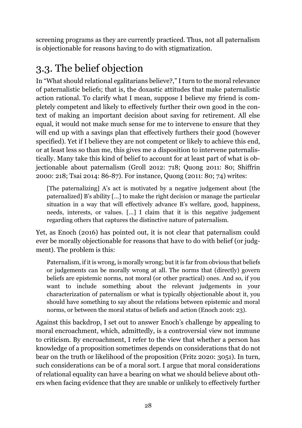screening programs as they are currently practiced. Thus, not all paternalism is objectionable for reasons having to do with stigmatization.

## <span id="page-27-0"></span>3.3. The belief objection

In "What should relational egalitarians believe?," I turn to the moral relevance of paternalistic beliefs; that is, the doxastic attitudes that make paternalistic action rational. To clarify what I mean, suppose I believe my friend is completely competent and likely to effectively further their own good in the context of making an important decision about saving for retirement. All else equal, it would not make much sense for me to intervene to ensure that they will end up with a savings plan that effectively furthers their good (however specified). Yet if I believe they are not competent or likely to achieve this end, or at least less so than me, this gives me a disposition to intervene paternalistically. Many take this kind of belief to account for at least part of what is objectionable about paternalism (Groll 2012: 718; Quong 2011: 80; Shiffrin 2000: 218; Tsai 2014: 86-87). For instance, Quong (2011: 80; 74) writes:

[The paternalizing] A's act is motivated by a negative judgement about [the paternalized] B's ability […] to make the right decision or manage the particular situation in a way that will effectively advance B's welfare, good, happiness, needs, interests, or values. […] I claim that it is this negative judgement regarding others that captures the distinctive nature of paternalism.

Yet, as Enoch (2016) has pointed out, it is not clear that paternalism could ever be morally objectionable for reasons that have to do with belief (or judgment). The problem is this:

Paternalism, if it is wrong, is morally wrong; but it is far from obvious that beliefs or judgements can be morally wrong at all. The norms that (directly) govern beliefs are epistemic norms, not moral (or other practical) ones. And so, if you want to include something about the relevant judgements in your characterization of paternalism or what is typically objectionable about it, you should have something to say about the relations between epistemic and moral norms, or between the moral status of beliefs and action (Enoch 2016: 23).

Against this backdrop, I set out to answer Enoch's challenge by appealing to moral encroachment, which, admittedly, is a controversial view not immune to criticism. By encroachment, I refer to the view that whether a person has knowledge of a proposition sometimes depends on considerations that do not bear on the truth or likelihood of the proposition (Fritz 2020: 3051). In turn, such considerations can be of a moral sort. I argue that moral considerations of relational equality can have a bearing on what we should believe about others when facing evidence that they are unable or unlikely to effectively further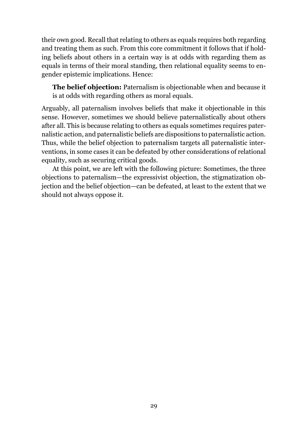their own good. Recall that relating to others as equals requires both regarding and treating them as such. From this core commitment it follows that if holding beliefs about others in a certain way is at odds with regarding them as equals in terms of their moral standing, then relational equality seems to engender epistemic implications. Hence:

**The belief objection:** Paternalism is objectionable when and because it is at odds with regarding others as moral equals.

Arguably, all paternalism involves beliefs that make it objectionable in this sense. However, sometimes we should believe paternalistically about others after all. This is because relating to others as equals sometimes requires paternalistic action, and paternalistic beliefs are dispositions to paternalistic action. Thus, while the belief objection to paternalism targets all paternalistic interventions, in some cases it can be defeated by other considerations of relational equality, such as securing critical goods.

At this point, we are left with the following picture: Sometimes, the three objections to paternalism—the expressivist objection, the stigmatization objection and the belief objection—can be defeated, at least to the extent that we should not always oppose it.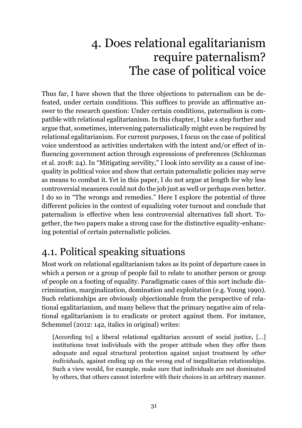# <span id="page-30-0"></span>4. Does relational egalitarianism require paternalism? The case of political voice

Thus far, I have shown that the three objections to paternalism can be defeated, under certain conditions. This suffices to provide an affirmative answer to the research question: Under certain conditions, paternalism is compatible with relational egalitarianism. In this chapter, I take a step further and argue that, sometimes, intervening paternalistically might even be required by relational egalitarianism. For current purposes, I focus on the case of political voice understood as activities undertaken with the intent and/or effect of influencing government action through expressions of preferences (Schlozman et al. 2018: 24). In "Mitigating servility," I look into servility as a cause of inequality in political voice and show that certain paternalistic policies may serve as means to combat it. Yet in this paper, I do not argue at length for why less controversial measures could not do the job just as well or perhaps even better. I do so in "The wrongs and remedies." Here I explore the potential of three different policies in the context of equalizing voter turnout and conclude that paternalism is effective when less controversial alternatives fall short. Together, the two papers make a strong case for the distinctive equality-enhancing potential of certain paternalistic policies.

## <span id="page-30-1"></span>4.1. Political speaking situations

Most work on relational egalitarianism takes as its point of departure cases in which a person or a group of people fail to relate to another person or group of people on a footing of equality. Paradigmatic cases of this sort include discrimination, marginalization, domination and exploitation (e.g. Young 1990). Such relationships are obviously objectionable from the perspective of relational egalitarianism, and many believe that the primary negative aim of relational egalitarianism is to eradicate or protect against them. For instance, Schemmel (2012: 142, italics in original) writes:

[According to] a liberal relational egalitarian account of social justice, […] institutions treat individuals with the proper attitude when they offer them adequate and equal structural protection against unjust treatment by *other individuals*, against ending up on the wrong end of inegalitarian relationships. Such a view would, for example, make sure that individuals are not dominated by others, that others cannot interfere with their choices in an arbitrary manner.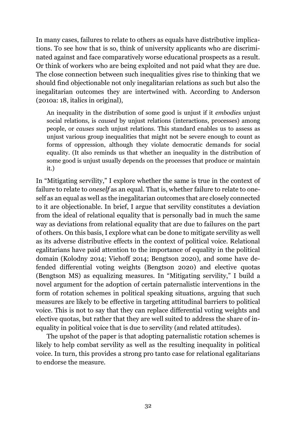In many cases, failures to relate to others as equals have distributive implications. To see how that is so, think of university applicants who are discriminated against and face comparatively worse educational prospects as a result. Or think of workers who are being exploited and not paid what they are due. The close connection between such inequalities gives rise to thinking that we should find objectionable not only inegalitarian relations as such but also the inegalitarian outcomes they are intertwined with. According to Anderson (2010a: 18, italics in original),

An inequality in the distribution of some good is unjust if it *embodies* unjust social relations, is *caused* by unjust relations (interactions, processes) among people, or *causes* such unjust relations. This standard enables us to assess as unjust various group inequalities that might not be severe enough to count as forms of oppression, although they violate democratic demands for social equality. (It also reminds us that whether an inequality in the distribution of some good is unjust usually depends on the processes that produce or maintain it.)

In "Mitigating servility," I explore whether the same is true in the context of failure to relate to *oneself* as an equal. That is, whether failure to relate to oneself as an equal as well as the inegalitarian outcomes that are closely connected to it are objectionable. In brief, I argue that servility constitutes a deviation from the ideal of relational equality that is personally bad in much the same way as deviations from relational equality that are due to failures on the part of others. On this basis, I explore what can be done to mitigate servility as well as its adverse distributive effects in the context of political voice. Relational egalitarians have paid attention to the importance of equality in the political domain (Kolodny 2014; Viehoff 2014; Bengtson 2020), and some have defended differential voting weights (Bengtson 2020) and elective quotas (Bengtson MS) as equalizing measures. In "Mitigating servility," I build a novel argument for the adoption of certain paternalistic interventions in the form of rotation schemes in political speaking situations, arguing that such measures are likely to be effective in targeting attitudinal barriers to political voice. This is not to say that they can replace differential voting weights and elective quotas, but rather that they are well suited to address the share of inequality in political voice that is due to servility (and related attitudes).

The upshot of the paper is that adopting paternalistic rotation schemes is likely to help combat servility as well as the resulting inequality in political voice. In turn, this provides a strong pro tanto case for relational egalitarians to endorse the measure.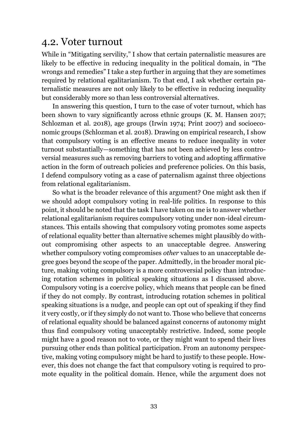#### <span id="page-32-0"></span>4.2. Voter turnout

While in "Mitigating servility," I show that certain paternalistic measures are likely to be effective in reducing inequality in the political domain, in "The wrongs and remedies" I take a step further in arguing that they are sometimes required by relational egalitarianism. To that end, I ask whether certain paternalistic measures are not only likely to be effective in reducing inequality but considerably more so than less controversial alternatives.

In answering this question, I turn to the case of voter turnout, which has been shown to vary significantly across ethnic groups (K. M. Hansen 2017; Schlozman et al. 2018), age groups (Irwin 1974; Print 2007) and socioeconomic groups (Schlozman et al. 2018). Drawing on empirical research, I show that compulsory voting is an effective means to reduce inequality in voter turnout substantially—something that has not been achieved by less controversial measures such as removing barriers to voting and adopting affirmative action in the form of outreach policies and preference policies. On this basis, I defend compulsory voting as a case of paternalism against three objections from relational egalitarianism.

So what is the broader relevance of this argument? One might ask then if we should adopt compulsory voting in real-life politics. In response to this point, it should be noted that the task I have taken on me is to answer whether relational egalitarianism requires compulsory voting under non-ideal circumstances. This entails showing that compulsory voting promotes some aspects of relational equality better than alternative schemes might plausibly do without compromising other aspects to an unacceptable degree. Answering whether compulsory voting compromises *other* values to an unacceptable degree goes beyond the scope of the paper. Admittedly, in the broader moral picture, making voting compulsory is a more controversial policy than introducing rotation schemes in political speaking situations as I discussed above. Compulsory voting is a coercive policy, which means that people can be fined if they do not comply. By contrast, introducing rotation schemes in political speaking situations is a nudge, and people can opt out of speaking if they find it very costly, or if they simply do not want to. Those who believe that concerns of relational equality should be balanced against concerns of autonomy might thus find compulsory voting unacceptably restrictive. Indeed, some people might have a good reason not to vote, or they might want to spend their lives pursuing other ends than political participation. From an autonomy perspective, making voting compulsory might be hard to justify to these people. However, this does not change the fact that compulsory voting is required to promote equality in the political domain. Hence, while the argument does not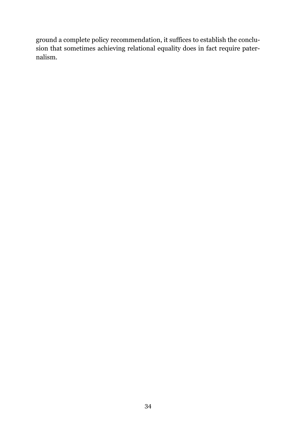ground a complete policy recommendation, it suffices to establish the conclusion that sometimes achieving relational equality does in fact require paternalism.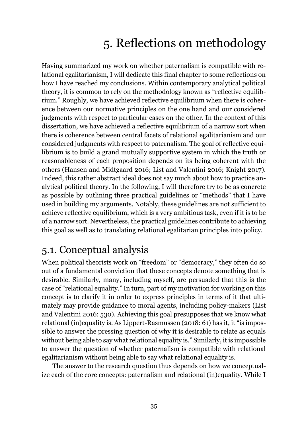# 5. Reflections on methodology

<span id="page-34-0"></span>Having summarized my work on whether paternalism is compatible with relational egalitarianism, I will dedicate this final chapter to some reflections on how I have reached my conclusions. Within contemporary analytical political theory, it is common to rely on the methodology known as "reflective equilibrium." Roughly, we have achieved reflective equilibrium when there is coherence between our normative principles on the one hand and our considered judgments with respect to particular cases on the other. In the context of this dissertation, we have achieved a reflective equilibrium of a narrow sort when there is coherence between central facets of relational egalitarianism and our considered judgments with respect to paternalism. The goal of reflective equilibrium is to build a grand mutually supportive system in which the truth or reasonableness of each proposition depends on its being coherent with the others (Hansen and Midtgaard 2016; List and Valentini 2016; Knight 2017). Indeed, this rather abstract ideal does not say much about how to practice analytical political theory. In the following, I will therefore try to be as concrete as possible by outlining three practical guidelines or "methods" that I have used in building my arguments. Notably, these guidelines are not sufficient to achieve reflective equilibrium, which is a very ambitious task, even if it is to be of a narrow sort. Nevertheless, the practical guidelines contribute to achieving this goal as well as to translating relational egalitarian principles into policy.

### <span id="page-34-1"></span>5.1. Conceptual analysis

When political theorists work on "freedom" or "democracy," they often do so out of a fundamental conviction that these concepts denote something that is desirable. Similarly, many, including myself, are persuaded that this is the case of "relational equality." In turn, part of my motivation for working on this concept is to clarify it in order to express principles in terms of it that ultimately may provide guidance to moral agents, including policy-makers (List and Valentini 2016: 530). Achieving this goal presupposes that we know what relational (in)equality is. As Lippert-Rasmussen (2018: 61) has it, it "is impossible to answer the pressing question of why it is desirable to relate as equals without being able to say what relational equality is." Similarly, it is impossible to answer the question of whether paternalism is compatible with relational egalitarianism without being able to say what relational equality is.

The answer to the research question thus depends on how we conceptualize each of the core concepts: paternalism and relational (in)equality. While I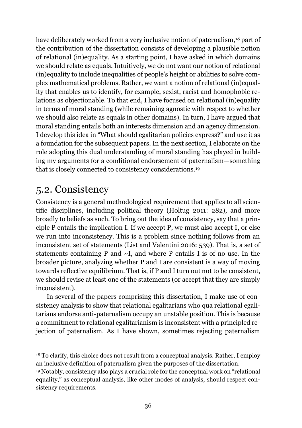have deliberately worked from a very inclusive notion of paternalism,<sup>18</sup> part of the contribution of the dissertation consists of developing a plausible notion of relational (in)equality. As a starting point, I have asked in which domains we should relate as equals. Intuitively, we do not want our notion of relational (in)equality to include inequalities of people's height or abilities to solve complex mathematical problems. Rather, we want a notion of relational (in)equality that enables us to identify, for example, sexist, racist and homophobic relations as objectionable. To that end, I have focused on relational (in)equality in terms of moral standing (while remaining agnostic with respect to whether we should also relate as equals in other domains). In turn, I have argued that moral standing entails both an interests dimension and an agency dimension. I develop this idea in "What should egalitarian policies express?" and use it as a foundation for the subsequent papers. In the next section, I elaborate on the role adopting this dual understanding of moral standing has played in building my arguments for a conditional endorsement of paternalism—something that is closely connected to consistency considerations.<sup>19</sup>

#### <span id="page-35-0"></span>5.2. Consistency

 $\overline{a}$ 

Consistency is a general methodological requirement that applies to all scientific disciplines, including political theory (Holtug 2011: 282), and more broadly to beliefs as such. To bring out the idea of consistency, say that a principle P entails the implication I. If we accept P, we must also accept I, or else we run into inconsistency. This is a problem since nothing follows from an inconsistent set of statements (List and Valentini 2016: 539). That is, a set of statements containing P and ~I, and where P entails I is of no use. In the broader picture, analyzing whether P and I are consistent is a way of moving towards reflective equilibrium. That is, if P and I turn out not to be consistent, we should revise at least one of the statements (or accept that they are simply inconsistent).

In several of the papers comprising this dissertation, I make use of consistency analysis to show that relational egalitarians who qua relational egalitarians endorse anti-paternalism occupy an unstable position. This is because a commitment to relational egalitarianism is inconsistent with a principled rejection of paternalism. As I have shown, sometimes rejecting paternalism

<sup>&</sup>lt;sup>18</sup> To clarify, this choice does not result from a conceptual analysis. Rather, I employ an inclusive definition of paternalism given the purposes of the dissertation.

<sup>19</sup> Notably, consistency also plays a crucial role for the conceptual work on "relational equality," as conceptual analysis, like other modes of analysis, should respect consistency requirements.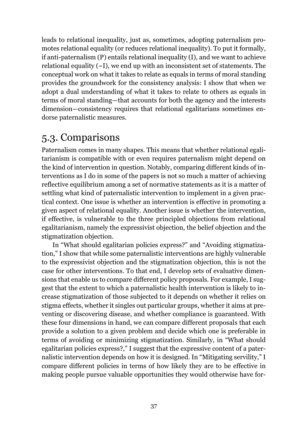leads to relational inequality, just as, sometimes, adopting paternalism promotes relational equality (or reduces relational inequality). To put it formally, if anti-paternalism (P) entails relational inequality (I), and we want to achieve relational equality  $(-I)$ , we end up with an inconsistent set of statements. The conceptual work on what it takes to relate as equals in terms of moral standing provides the groundwork for the consistency analysis: I show that when we adopt a dual understanding of what it takes to relate to others as equals in terms of moral standing—that accounts for both the agency and the interests dimension—consistency requires that relational egalitarians sometimes endorse paternalistic measures.

### <span id="page-36-0"></span>5.3. Comparisons

Paternalism comes in many shapes. This means that whether relational egalitarianism is compatible with or even requires paternalism might depend on the kind of intervention in question. Notably, comparing different kinds of interventions as I do in some of the papers is not so much a matter of achieving reflective equilibrium among a set of normative statements as it is a matter of settling what kind of paternalistic intervention to implement in a given practical context. One issue is whether an intervention is effective in promoting a given aspect of relational equality. Another issue is whether the intervention, if effective, is vulnerable to the three principled objections from relational egalitarianism, namely the expressivist objection, the belief objection and the stigmatization objection.

In "What should egalitarian policies express?" and "Avoiding stigmatization," I show that while some paternalistic interventions are highly vulnerable to the expressivist objection and the stigmatization objection, this is not the case for other interventions. To that end, I develop sets of evaluative dimensions that enable us to compare different policy proposals. For example, I suggest that the extent to which a paternalistic health intervention is likely to increase stigmatization of those subjected to it depends on whether it relies on stigma effects, whether it singles out particular groups, whether it aims at preventing or discovering disease, and whether compliance is guaranteed. With these four dimensions in hand, we can compare different proposals that each provide a solution to a given problem and decide which one is preferable in terms of avoiding or minimizing stigmatization. Similarly, in "What should egalitarian policies express?," I suggest that the expressive content of a paternalistic intervention depends on how it is designed. In "Mitigating servility," I compare different policies in terms of how likely they are to be effective in making people pursue valuable opportunities they would otherwise have for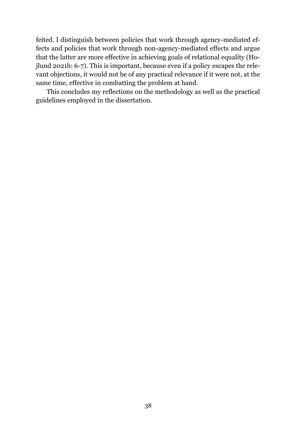feited. I distinguish between policies that work through agency-mediated effects and policies that work through non-agency-mediated effects and argue that the latter are more effective in achieving goals of relational equality (Hojlund 2021b: 6-7). This is important, because even if a policy escapes the relevant objections, it would not be of any practical relevance if it were not, at the same time, effective in combatting the problem at hand.

This concludes my reflections on the methodology as well as the practical guidelines employed in the dissertation.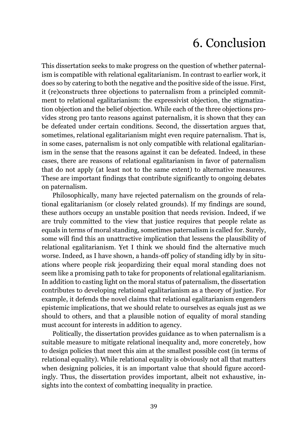# 6. Conclusion

<span id="page-38-0"></span>This dissertation seeks to make progress on the question of whether paternalism is compatible with relational egalitarianism. In contrast to earlier work, it does so by catering to both the negative and the positive side of the issue. First, it (re)constructs three objections to paternalism from a principled commitment to relational egalitarianism: the expressivist objection, the stigmatization objection and the belief objection. While each of the three objections provides strong pro tanto reasons against paternalism, it is shown that they can be defeated under certain conditions. Second, the dissertation argues that, sometimes, relational egalitarianism might even require paternalism. That is, in some cases, paternalism is not only compatible with relational egalitarianism in the sense that the reasons against it can be defeated. Indeed, in these cases, there are reasons of relational egalitarianism in favor of paternalism that do not apply (at least not to the same extent) to alternative measures. These are important findings that contribute significantly to ongoing debates on paternalism.

Philosophically, many have rejected paternalism on the grounds of relational egalitarianism (or closely related grounds). If my findings are sound, these authors occupy an unstable position that needs revision. Indeed, if we are truly committed to the view that justice requires that people relate as equals in terms of moral standing, sometimes paternalism is called for. Surely, some will find this an unattractive implication that lessens the plausibility of relational egalitarianism. Yet I think we should find the alternative much worse. Indeed, as I have shown, a hands-off policy of standing idly by in situations where people risk jeopardizing their equal moral standing does not seem like a promising path to take for proponents of relational egalitarianism. In addition to casting light on the moral status of paternalism, the dissertation contributes to developing relational egalitarianism as a theory of justice. For example, it defends the novel claims that relational egalitarianism engenders epistemic implications, that we should relate to ourselves as equals just as we should to others, and that a plausible notion of equality of moral standing must account for interests in addition to agency.

Politically, the dissertation provides guidance as to when paternalism is a suitable measure to mitigate relational inequality and, more concretely, how to design policies that meet this aim at the smallest possible cost (in terms of relational equality). While relational equality is obviously not all that matters when designing policies, it is an important value that should figure accordingly. Thus, the dissertation provides important, albeit not exhaustive, insights into the context of combatting inequality in practice.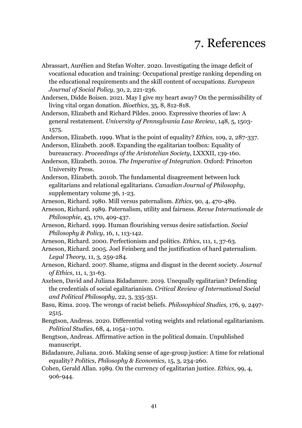# 7. References

- <span id="page-40-0"></span>Abrassart, Aurélien and Stefan Wolter. 2020. Investigating the image deficit of vocational education and training: Occupational prestige ranking depending on the educational requirements and the skill content of occupations. *European Journal of Social Policy*, 30, 2, 221-236.
- Andersen, Didde Boisen. 2021. May I give my heart away? On the permissibility of living vital organ donation. *Bioethics*, 35, 8, 812-818.
- Anderson, Elizabeth and Richard Pildes. 2000. Expressive theories of law: A general restatement. *University of Pennsylvania Law Review*, 148, 5, 1503- 1575.
- Anderson, Elizabeth. 1999. What is the point of equality? *Ethics,* 109, 2, 287-337.
- Anderson, Elizabeth. 2008. Expanding the egalitarian toolbox: Equality of bureaucracy. *Proceedings of the Aristotelian Society*, LXXXII, 139-160.
- Anderson, Elizabeth. 2010a. *The Imperative of Integration*. Oxford: Princeton University Press.
- Anderson, Elizabeth. 2010b. The fundamental disagreement between luck egalitarians and relational egalitarians. *Canadian Journal of Philosophy*, supplementary volume 36, 1-23.
- Arneson, Richard. 1980. Mill versus paternalism. *Ethics*, 90, 4, 470-489.
- Arneson, Richard. 1989. Paternalism, utility and fairness. *Revue Internationale de Philosophie*, 43, 170, 409-437.
- Arneson, Richard. 1999. Human flourishing versus desire satisfaction. *Social Philosophy & Policy*, 16, 1, 113-142.
- Arneson, Richard. 2000. Perfectionism and politics. *Ethics*, 111, 1, 37-63.
- Arneson, Richard. 2005. Joel Feinberg and the justification of hard paternalism. *Legal Theory*, 11, 3, 259-284.
- Arneson, Richard. 2007. Shame, stigma and disgust in the decent society. *Journal of Ethics*, 11, 1, 31-63.
- Axelsen, David and Juliana Bidadanure. 2019. Unequally egalitarian? Defending the credentials of social egalitarianism. *Critical Review of International Social and Political Philosophy*, 22, 3, 335-351.
- Basu, Rima. 2019. The wrongs of racist beliefs. *Philosophical Studies,* 176, 9, 2497- 2515.
- Bengtson, Andreas. 2020. Differential voting weights and relational egalitarianism. *Political Studies*, 68, 4, 1054–1070.
- Bengtson, Andreas. Affirmative action in the political domain. Unpublished manuscript.
- Bidadanure, Juliana. 2016. Making sense of age-group justice: A time for relational equality? *Politics, Philosophy & Economics,* 15, 3, 234-260.
- Cohen, Gerald Allan. 1989. On the currency of egalitarian justice. *Ethics*, 99, 4, 906-944.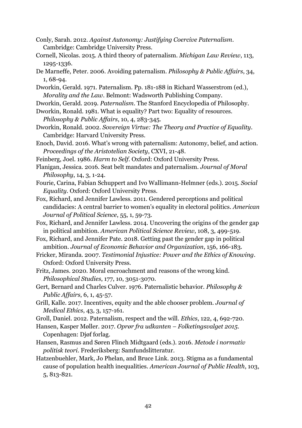- Conly, Sarah. 2012. *Against Autonomy: Justifying Coercive Paternalism*. Cambridge: Cambridge University Press.
- Cornell, Nicolas. 2015. A third theory of paternalism. *Michigan Law Review*, 113, 1295-1336.
- De Marneffe, Peter. 2006. Avoiding paternalism. *Philosophy & Public Affairs*, 34, 1, 68-94.
- Dworkin, Gerald. 1971. Paternalism. Pp. 181-188 in Richard Wasserstrom (ed.), *Morality and the Law*. Belmont: Wadsworth Publishing Company.
- Dworkin, Gerald. 2019. *Paternalism*. The Stanford Encyclopedia of Philosophy.
- Dworkin, Ronald. 1981. What is equality? Part two: Equality of resources. *Philosophy & Public Affairs*, 10, 4, 283-345.
- Dworkin, Ronald. 2002. *Sovereign Virtue: The Theory and Practice of Equality*. Cambridge: Harvard University Press.
- Enoch, David. 2016. What's wrong with paternalism: Autonomy, belief, and action. *Proceedings of the Aristotelian Society*, CXVI, 21-48.
- Feinberg, Joel. 1986. *Harm to Self*. Oxford: Oxford University Press.
- Flanigan, Jessica. 2016. Seat belt mandates and paternalism. *Journal of Moral Philosophy*, 14, 3, 1-24.
- Fourie, Carina, Fabian Schuppert and Ivo Wallimann-Helmner (eds.). 2015. *Social Equality*. Oxford: Oxford University Press.
- Fox, Richard, and Jennifer Lawless. 2011. Gendered perceptions and political candidacies: A central barrier to women's equality in electoral politics. *American Journal of Political Science*, 55, 1, 59-73.
- Fox, Richard, and Jennifer Lawless. 2014. Uncovering the origins of the gender gap in political ambition. *American Political Science Review*, 108, 3, 499-519.
- Fox, Richard, and Jennifer Pate. 2018. Getting past the gender gap in political ambition. *Journal of Economic Behavior and Organization*, 156, 166-183.
- Fricker, Miranda. 2007. *Testimonial Injustice: Power and the Ethics of Knowing*. Oxford: Oxford University Press.
- Fritz, James. 2020. Moral encroachment and reasons of the wrong kind. *Philosophical Studies*, 177, 10, 3051-3070.
- Gert, Bernard and Charles Culver. 1976. Paternalistic behavior. *Philosophy & Public Affairs*, 6, 1, 45-57.
- Grill, Kalle. 2017. Incentives, equity and the able chooser problem. *Journal of Medical Ethics*, 43, 3, 157-161.
- Groll, Daniel. 2012. Paternalism, respect and the will. *Ethics*, 122, 4, 692-720.
- Hansen, Kasper Møller. 2017. *Oprør fra udkanten – Folketingsvalget 2015*. Copenhagen: Djøf forlag.
- Hansen, Rasmus and Søren Flinch Midtgaard (eds.). 2016. *Metode i normativ politisk teori*. Frederiksberg: Samfundslitteratur.
- Hatzenbuehler, Mark, Jo Phelan, and Bruce Link. 2013. Stigma as a fundamental cause of population health inequalities. *American Journal of Public Health*, 103, 5, 813-821.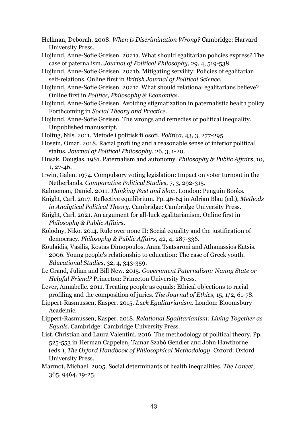- Hellman, Deborah. 2008. *When is Discrimination Wrong?* Cambridge: Harvard University Press.
- Hojlund, Anne-Sofie Greisen. 2021a. What should egalitarian policies express? The case of paternalism. *Journal of Political Philosophy*, 29, 4, 519-538.
- Hojlund, Anne-Sofie Greisen. 2021b. Mitigating servility: Policies of egalitarian self-relations. Online first in *British Journal of Political Science*.
- Hojlund, Anne-Sofie Greisen. 2021c. What should relational egalitarians believe? Online first in *Politics, Philosophy & Economics*.
- Hojlund, Anne-Sofie Greisen. Avoiding stigmatization in paternalistic health policy. Forthcoming in *Social Theory and Practice*.
- Hojlund, Anne-Sofie Greisen. The wrongs and remedies of political inequality. Unpublished manuscript.
- Holtug, Nils. 2011. Metode i politisk filosofi. *Politica*, 43, 3, 277-295.
- Hosein, Omar. 2018. Racial profiling and a reasonable sense of inferior political status. *Journal of Political Philosophy*, 26, 3, 1-20.
- Husak, Douglas. 1981. Paternalism and autonomy. *Philosophy & Public Affairs*, 10, 1, 27-46.
- Irwin, Galen. 1974. Compulsory voting legislation: Impact on voter turnout in the Netherlands. *Comparative Political Studies*, 7, 3, 292-315.
- Kahneman, Daniel. 2011. *Thinking Fast and Slow*. London: Penguin Books.
- Knight, Carl. 2017. Reflective equilibrium. Pp. 46-64 in Adrian Blau (ed.), *Methods in Analytical Political Theory*. Cambridge: Cambridge University Press.
- Knight, Carl. 2021. An argument for all-luck egalitarianism. Online first in *Philosophy & Public Affairs*.
- Kolodny, Niko. 2014. Rule over none II: Social equality and the justification of democracy. *Philosophy & Public Affairs*, 42, 4, 287-336.
- Koulaidis, Vasilis, Kostas Dimopoulos, Anna Tsatsaroni and Athanassios Katsis. 2006. Young people's relationship to education: The case of Greek youth. *Educational Studies*, 32, 4, 343-359.
- Le Grand, Julian and Bill New. 2015. *Government Paternalism: Nanny State or Helpful Friend?* Princeton: Princeton University Press.
- Lever, Annabelle. 2011. Treating people as equals: Ethical objections to racial profiling and the composition of juries. *The Journal of Ethics*, 15, 1/2, 61-78.
- Lippert-Rasmussen, Kasper. 2015. *Luck Egalitarianism*. London: Bloomsbury Academic.
- Lippert-Rasmussen, Kasper. 2018. *Relational Egalitarianism: Living Together as Equals*. Cambridge: Cambridge University Press.
- List, Christian and Laura Valentini. 2016. The methodology of political theory. Pp. 525-553 in Herman Cappelen, Tamar Szabó Gendler and John Hawthorne (eds.), *The Oxford Handbook of Philosophical Methodology*. Oxford: Oxford University Press.
- Marmot, Michael. 2005. Social determinants of health inequalities. *The Lancet*, 365, 9464, 19-25.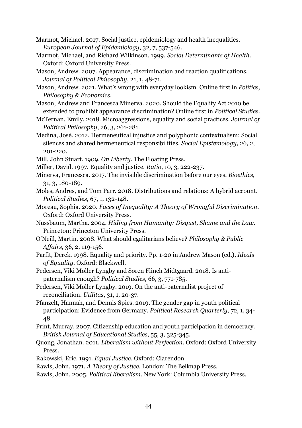- Marmot, Michael. 2017. Social justice, epidemiology and health inequalities. *European Journal of Epidemiology*, 32, 7, 537-546.
- Marmot, Michael, and Richard Wilkinson. 1999. *Social Determinants of Health*. Oxford: Oxford University Press.
- Mason, Andrew. 2007. Appearance, discrimination and reaction qualifications. *Journal of Political Philosophy*, 21, 1, 48-71.
- Mason, Andrew. 2021. What's wrong with everyday lookism. Online first in *Politics, Philosophy & Economics*.
- Mason, Andrew and Francesca Minerva. 2020. Should the Equality Act 2010 be extended to prohibit appearance discrimination? Online first in *Political Studies*.
- McTernan, Emily. 2018. Microaggressions, equality and social practices. *Journal of Political Philosophy*, 26, 3, 261-281.
- Medina, José. 2012. Hermeneutical injustice and polyphonic contextualism: Social silences and shared hermeneutical responsibilities. *Social Epistemology*, 26, 2, 201-220.
- Mill, John Stuart. 1909. *On Liberty*. The Floating Press.
- Miller, David. 1997. Equality and justice. *Ratio*, 10, 3, 222-237.
- Minerva, Francesca. 2017. The invisible discrimination before our eyes. *Bioethics*, 31, 3, 180-189.
- Moles, Andres, and Tom Parr. 2018. Distributions and relations: A hybrid account. *Political Studies*, 67, 1, 132-148.
- Moreau, Sophia. 2020. *Faces of Inequality: A Theory of Wrongful Discrimination*. Oxford: Oxford University Press.
- Nussbaum, Martha. 2004. *Hiding from Humanity: Disgust, Shame and the Law*. Princeton: Princeton University Press.
- O'Neill, Martin. 2008. What should egalitarians believe? *Philosophy & Public Affairs*, 36, 2, 119-156.
- Parfit, Derek. 1998. Equality and priority. Pp. 1-20 in Andrew Mason (ed.), *Ideals of Equality*. Oxford: Blackwell.
- Pedersen, Viki Møller Lyngby and Søren Flinch Midtgaard. 2018. Is antipaternalism enough? *Political Studies*, 66, 3, 771-785.
- Pedersen, Viki Møller Lyngby. 2019. On the anti-paternalist project of reconciliation. *Utilitas*, 31, 1, 20-37.
- Pfanzelt, Hannah, and Dennis Spies. 2019. The gender gap in youth political participation: Evidence from Germany. *Political Research Quarterly*, 72, 1, 34- 48.
- Print, Murray. 2007. Citizenship education and youth participation in democracy. *British Journal of Educational Studies*, 55, 3, 325-345.
- Quong, Jonathan. 2011. *Liberalism without Perfection*. Oxford: Oxford University Press.
- Rakowski, Eric. 1991. *Equal Justice*. Oxford: Clarendon.
- Rawls, John. 1971. *A Theory of Justice*. London: The Belknap Press.
- Rawls, John. 2005. *Political liberalism*. New York: Columbia University Press.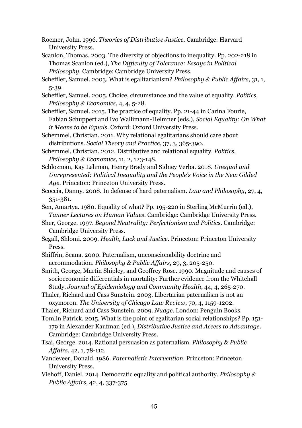Roemer, John. 1996. *Theories of Distributive Justice*. Cambridge: Harvard University Press.

- Scanlon, Thomas. 2003. The diversity of objections to inequality. Pp. 202-218 in Thomas Scanlon (ed.), *The Difficulty of Tolerance: Essays in Political Philosophy*. Cambridge: Cambridge University Press.
- Scheffler, Samuel. 2003. What is egalitarianism? *Philosophy & Public Affairs*, 31, 1, 5-39.
- Scheffler, Samuel. 2005. Choice, circumstance and the value of equality. *Politics, Philosophy & Economics*, 4, 4, 5-28.
- Scheffler, Samuel. 2015. The practice of equality. Pp. 21-44 in Carina Fourie, Fabian Schuppert and Ivo Wallimann-Helmner (eds.), *Social Equality: On What it Means to be Equals*. Oxford: Oxford University Press.
- Schemmel, Christian. 2011. Why relational egalitarians should care about distributions. *Social Theory and Practice*, 37, 3, 365-390.
- Schemmel, Christian. 2012. Distributive and relational equality. *Politics, Philosophy & Economics*, 11, 2, 123-148.
- Schlozman, Kay Lehman, Henry Brady and Sidney Verba. 2018. *Unequal and Unrepresented: Political Inequality and the People's Voice in the New Gilded Age*. Princeton: Princeton University Press.
- Scoccia, Danny. 2008. In defense of hard paternalism. *Law and Philosophy*, 27, 4, 351-381.
- Sen, Amartya. 1980. Equality of what? Pp. 195-220 in Sterling McMurrin (ed.), *Tanner Lectures on Human Values*. Cambridge: Cambridge University Press.
- Sher, George. 1997. *Beyond Neutrality: Perfectionism and Politics*. Cambridge: Cambridge University Press.
- Segall, Shlomi. 2009. *Health, Luck and Justice*. Princeton: Princeton University Press.
- Shiffrin, Seana. 2000. Paternalism, unconscionability doctrine and accommodation. *Philosophy & Public Affairs*, 29, 3, 205-250.
- Smith, George, Martin Shipley, and Geoffrey Rose. 1990. Magnitude and causes of socioeconomic differentials in mortality: Further evidence from the Whitehall Study. *Journal of Epidemiology and Community Health*, 44, 4, 265-270.
- Thaler, Richard and Cass Sunstein. 2003. Libertarian paternalism is not an oxymoron. *The University of Chicago Law Review*, 70, 4, 1159-1202.
- Thaler, Richard and Cass Sunstein. 2009. *Nudge*. London: Penguin Books.
- Tomlin Patrick. 2015. What is the point of egalitarian social relationships? Pp. 151- 179 in Alexander Kaufman (ed.), *Distributive Justice and Access to Advantage*. Cambridge: Cambridge University Press.
- Tsai, George. 2014. Rational persuasion as paternalism. *Philosophy & Public Affairs*, 42, 1, 78-112.
- Vandeveer, Donald. 1986. *Paternalistic Intervention*. Princeton: Princeton University Press.
- Viehoff, Daniel. 2014. Democratic equality and political authority. *Philosophy & Public Affairs*, 42, 4, 337-375.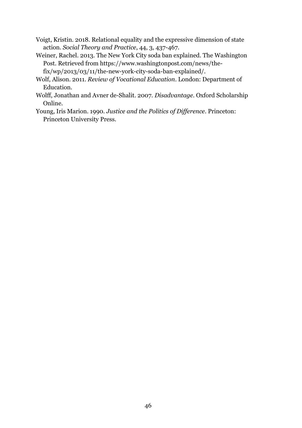- Voigt, Kristin. 2018. Relational equality and the expressive dimension of state action. *Social Theory and Practice*, 44, 3, 437-467.
- Weiner, Rachel. 2013. The New York City soda ban explained. The Washington Post. Retrieved from https://www.washingtonpost.com/news/thefix/wp/2013/03/11/the-new-york-city-soda-ban-explained/.
- Wolf, Alison. 2011. *Review of Vocational Education*. London: Department of Education.
- Wolff, Jonathan and Avner de-Shalit. 2007. *Disadvantage*. Oxford Scholarship Online.
- Young, Iris Marion. 1990. *Justice and the Politics of Difference*. Princeton: Princeton University Press.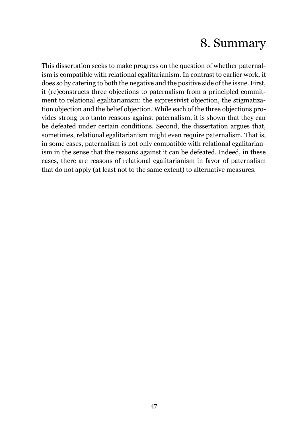# 8. Summary

<span id="page-46-0"></span>This dissertation seeks to make progress on the question of whether paternalism is compatible with relational egalitarianism. In contrast to earlier work, it does so by catering to both the negative and the positive side of the issue. First, it (re)constructs three objections to paternalism from a principled commitment to relational egalitarianism: the expressivist objection, the stigmatization objection and the belief objection. While each of the three objections provides strong pro tanto reasons against paternalism, it is shown that they can be defeated under certain conditions. Second, the dissertation argues that, sometimes, relational egalitarianism might even require paternalism. That is, in some cases, paternalism is not only compatible with relational egalitarianism in the sense that the reasons against it can be defeated. Indeed, in these cases, there are reasons of relational egalitarianism in favor of paternalism that do not apply (at least not to the same extent) to alternative measures.